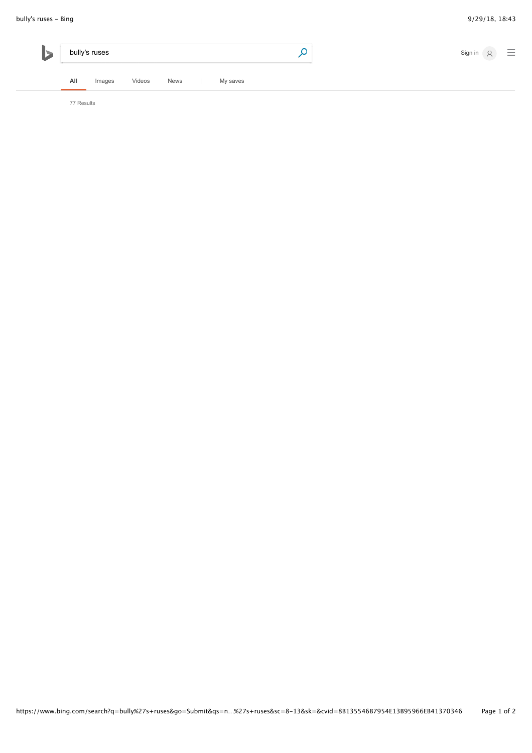| bully's ruses |        |        |             |  |          | $\equiv$<br>Sign in 8 |
|---------------|--------|--------|-------------|--|----------|-----------------------|
| All           | Images | Videos | <b>News</b> |  | My saves |                       |

77 Results